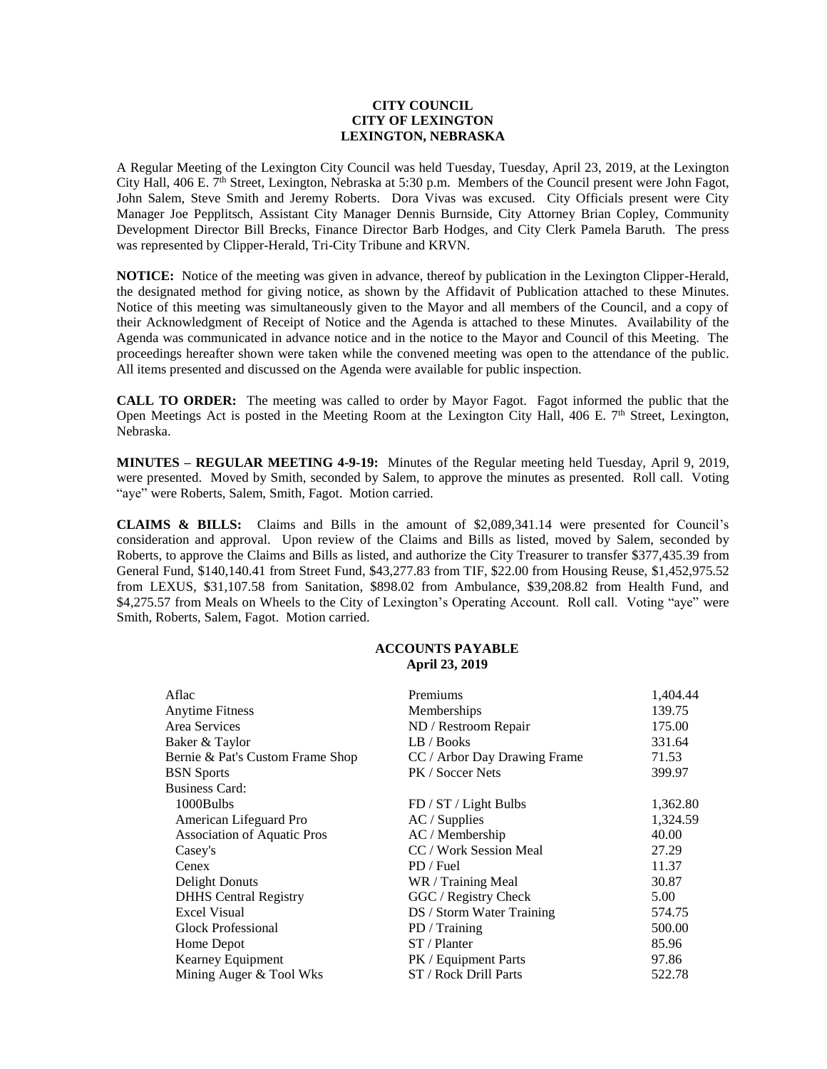## **CITY COUNCIL CITY OF LEXINGTON LEXINGTON, NEBRASKA**

A Regular Meeting of the Lexington City Council was held Tuesday, Tuesday, April 23, 2019, at the Lexington City Hall, 406 E. 7<sup>th</sup> Street, Lexington, Nebraska at 5:30 p.m. Members of the Council present were John Fagot, John Salem, Steve Smith and Jeremy Roberts. Dora Vivas was excused. City Officials present were City Manager Joe Pepplitsch, Assistant City Manager Dennis Burnside, City Attorney Brian Copley, Community Development Director Bill Brecks, Finance Director Barb Hodges, and City Clerk Pamela Baruth. The press was represented by Clipper-Herald, Tri-City Tribune and KRVN.

**NOTICE:** Notice of the meeting was given in advance, thereof by publication in the Lexington Clipper-Herald, the designated method for giving notice, as shown by the Affidavit of Publication attached to these Minutes. Notice of this meeting was simultaneously given to the Mayor and all members of the Council, and a copy of their Acknowledgment of Receipt of Notice and the Agenda is attached to these Minutes. Availability of the Agenda was communicated in advance notice and in the notice to the Mayor and Council of this Meeting. The proceedings hereafter shown were taken while the convened meeting was open to the attendance of the public. All items presented and discussed on the Agenda were available for public inspection.

**CALL TO ORDER:** The meeting was called to order by Mayor Fagot. Fagot informed the public that the Open Meetings Act is posted in the Meeting Room at the Lexington City Hall, 406 E. 7<sup>th</sup> Street, Lexington, Nebraska.

**MINUTES – REGULAR MEETING 4-9-19:** Minutes of the Regular meeting held Tuesday, April 9, 2019, were presented. Moved by Smith, seconded by Salem, to approve the minutes as presented. Roll call. Voting "aye" were Roberts, Salem, Smith, Fagot. Motion carried.

**CLAIMS & BILLS:** Claims and Bills in the amount of \$2,089,341.14 were presented for Council's consideration and approval. Upon review of the Claims and Bills as listed, moved by Salem, seconded by Roberts, to approve the Claims and Bills as listed, and authorize the City Treasurer to transfer \$377,435.39 from General Fund, \$140,140.41 from Street Fund, \$43,277.83 from TIF, \$22.00 from Housing Reuse, \$1,452,975.52 from LEXUS, \$31,107.58 from Sanitation, \$898.02 from Ambulance, \$39,208.82 from Health Fund, and \$4,275.57 from Meals on Wheels to the City of Lexington's Operating Account. Roll call. Voting "aye" were Smith, Roberts, Salem, Fagot. Motion carried.

## **ACCOUNTS PAYABLE April 23, 2019**

| Aflac                              | Premiums                     | 1,404.44 |
|------------------------------------|------------------------------|----------|
| <b>Anytime Fitness</b>             | Memberships                  | 139.75   |
| Area Services                      | ND / Restroom Repair         | 175.00   |
| Baker & Taylor                     | LB / Books                   | 331.64   |
| Bernie & Pat's Custom Frame Shop   | CC / Arbor Day Drawing Frame | 71.53    |
| <b>BSN</b> Sports                  | PK / Soccer Nets             | 399.97   |
| <b>Business Card:</b>              |                              |          |
| 1000Bulbs                          | FD / ST / Light Bulbs        | 1,362.80 |
| American Lifeguard Pro             | $AC /$ Supplies              | 1,324.59 |
| <b>Association of Aquatic Pros</b> | $AC /$ Membership            | 40.00    |
| Casey's                            | CC / Work Session Meal       | 27.29    |
| Cenex                              | PD / Fuel                    | 11.37    |
| <b>Delight Donuts</b>              | WR / Training Meal           | 30.87    |
| <b>DHHS</b> Central Registry       | GGC / Registry Check         | 5.00     |
| <b>Excel Visual</b>                | DS / Storm Water Training    | 574.75   |
| <b>Glock Professional</b>          | PD / Training                | 500.00   |
| Home Depot                         | ST/Planter                   | 85.96    |
| Kearney Equipment                  | PK / Equipment Parts         | 97.86    |
| Mining Auger & Tool Wks            | ST / Rock Drill Parts        | 522.78   |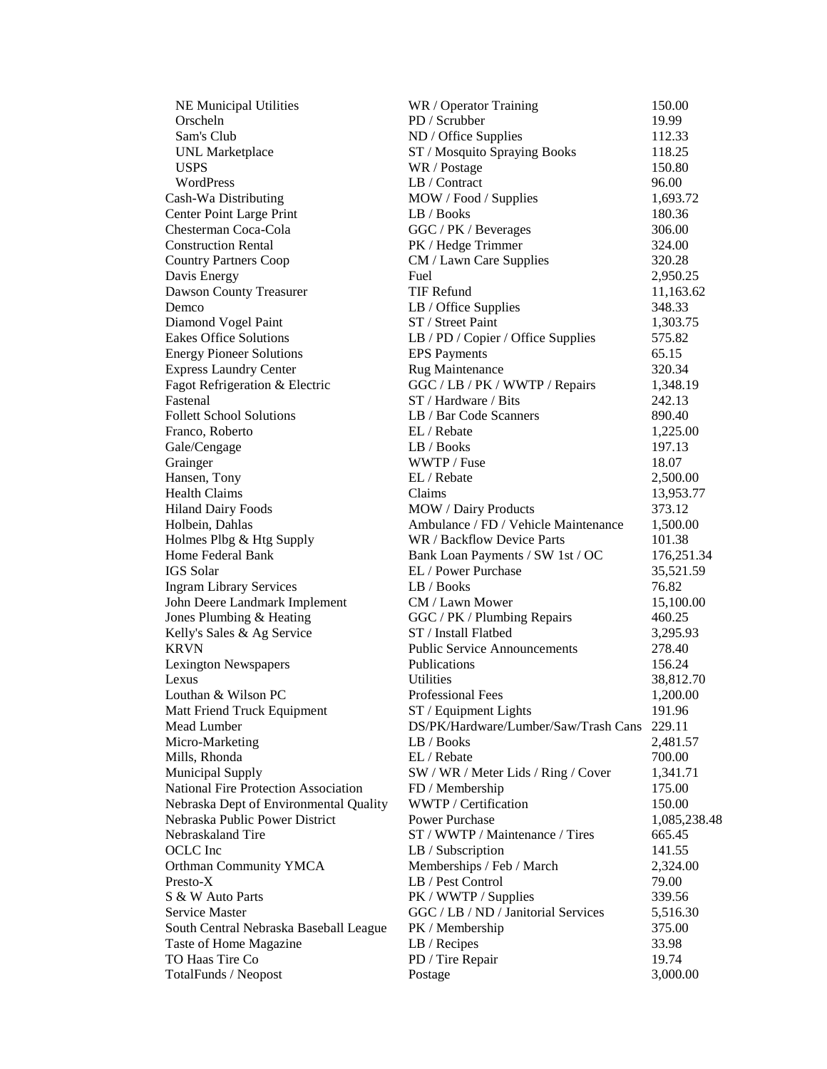| <b>NE Municipal Utilities</b>               | WR / Operator Training               | 150.00       |
|---------------------------------------------|--------------------------------------|--------------|
| Orscheln                                    | PD / Scrubber                        | 19.99        |
| Sam's Club                                  | ND / Office Supplies                 | 112.33       |
| <b>UNL</b> Marketplace                      | ST / Mosquito Spraying Books         | 118.25       |
| <b>USPS</b>                                 | WR / Postage                         | 150.80       |
| WordPress                                   | LB / Contract                        | 96.00        |
| Cash-Wa Distributing                        | MOW / Food / Supplies                | 1,693.72     |
| Center Point Large Print                    | LB / Books                           | 180.36       |
| Chesterman Coca-Cola                        | GGC / PK / Beverages                 | 306.00       |
| <b>Construction Rental</b>                  | PK / Hedge Trimmer                   | 324.00       |
| <b>Country Partners Coop</b>                | CM / Lawn Care Supplies              | 320.28       |
| Davis Energy                                | Fuel                                 | 2,950.25     |
| Dawson County Treasurer                     | <b>TIF Refund</b>                    | 11,163.62    |
| Demco                                       | LB / Office Supplies                 | 348.33       |
| Diamond Vogel Paint                         | ST / Street Paint                    | 1,303.75     |
| <b>Eakes Office Solutions</b>               | LB / PD / Copier / Office Supplies   | 575.82       |
| <b>Energy Pioneer Solutions</b>             | <b>EPS</b> Payments                  | 65.15        |
| <b>Express Laundry Center</b>               | Rug Maintenance                      | 320.34       |
| Fagot Refrigeration & Electric              | GGC / LB / PK / WWTP / Repairs       | 1,348.19     |
| Fastenal                                    | ST / Hardware / Bits                 | 242.13       |
| <b>Follett School Solutions</b>             | LB / Bar Code Scanners               | 890.40       |
| Franco, Roberto                             | EL / Rebate                          | 1,225.00     |
| Gale/Cengage                                | LB / Books                           | 197.13       |
| Grainger                                    | WWTP / Fuse                          | 18.07        |
| Hansen, Tony                                | EL / Rebate                          | 2,500.00     |
| <b>Health Claims</b>                        | Claims                               | 13,953.77    |
| <b>Hiland Dairy Foods</b>                   | MOW / Dairy Products                 | 373.12       |
| Holbein, Dahlas                             | Ambulance / FD / Vehicle Maintenance | 1,500.00     |
| Holmes Plbg & Htg Supply                    | WR / Backflow Device Parts           | 101.38       |
| Home Federal Bank                           | Bank Loan Payments / SW 1st / OC     | 176,251.34   |
| <b>IGS</b> Solar                            | EL / Power Purchase                  | 35,521.59    |
| <b>Ingram Library Services</b>              | LB / Books                           | 76.82        |
| John Deere Landmark Implement               | CM / Lawn Mower                      | 15,100.00    |
| Jones Plumbing & Heating                    | GGC / PK / Plumbing Repairs          | 460.25       |
| Kelly's Sales & Ag Service                  | ST / Install Flatbed                 | 3,295.93     |
| <b>KRVN</b>                                 | <b>Public Service Announcements</b>  | 278.40       |
| <b>Lexington Newspapers</b>                 | Publications                         | 156.24       |
| Lexus                                       | Utilities                            | 38,812.70    |
| Louthan & Wilson PC                         | <b>Professional Fees</b>             | 1,200.00     |
| Matt Friend Truck Equipment                 | ST / Equipment Lights                | 191.96       |
| Mead Lumber                                 | DS/PK/Hardware/Lumber/Saw/Trash Cans | 229.11       |
| Micro-Marketing                             | LB / Books                           | 2,481.57     |
| Mills, Rhonda                               | EL / Rebate                          | 700.00       |
| Municipal Supply                            | SW / WR / Meter Lids / Ring / Cover  | 1,341.71     |
| <b>National Fire Protection Association</b> | FD / Membership                      | 175.00       |
| Nebraska Dept of Environmental Quality      | WWTP / Certification                 | 150.00       |
| Nebraska Public Power District              | Power Purchase                       | 1,085,238.48 |
| Nebraskaland Tire                           | ST / WWTP / Maintenance / Tires      | 665.45       |
| OCLC Inc                                    | LB / Subscription                    | 141.55       |
| <b>Orthman Community YMCA</b>               | Memberships / Feb / March            | 2,324.00     |
| Presto-X                                    | LB / Pest Control                    | 79.00        |
| S & W Auto Parts                            | PK / WWTP / Supplies                 | 339.56       |
| <b>Service Master</b>                       | GGC / LB / ND / Janitorial Services  | 5,516.30     |
| South Central Nebraska Baseball League      | PK / Membership                      | 375.00       |
| Taste of Home Magazine                      | LB / Recipes                         | 33.98        |
| TO Haas Tire Co                             | PD / Tire Repair                     | 19.74        |
| TotalFunds / Neopost                        | Postage                              | 3,000.00     |
|                                             |                                      |              |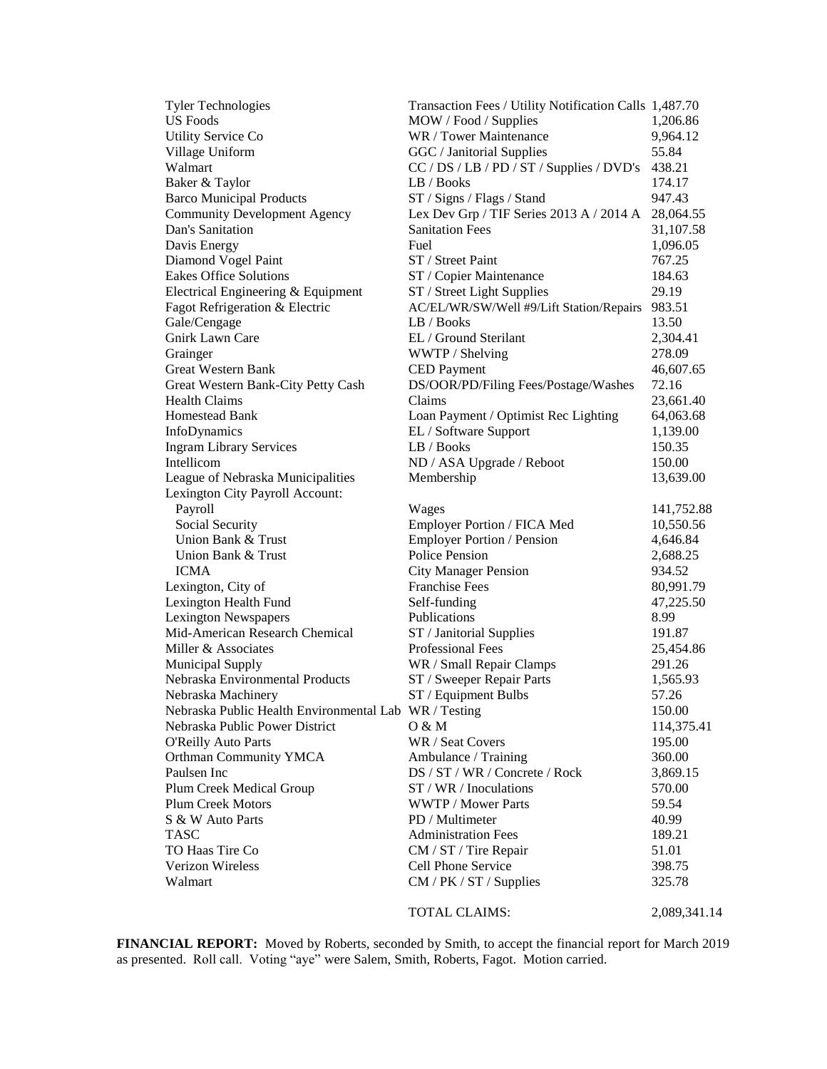| <b>Tyler Technologies</b>                             | Transaction Fees / Utility Notification Calls 1,487.70 |              |
|-------------------------------------------------------|--------------------------------------------------------|--------------|
| <b>US Foods</b>                                       | MOW / Food / Supplies                                  | 1,206.86     |
| <b>Utility Service Co</b>                             | WR / Tower Maintenance                                 | 9,964.12     |
| Village Uniform                                       | GGC / Janitorial Supplies                              | 55.84        |
| Walmart                                               | CC / DS / LB / PD / ST / Supplies / DVD's 438.21       |              |
| Baker & Taylor                                        | LB / Books                                             | 174.17       |
| <b>Barco Municipal Products</b>                       | ST / Signs / Flags / Stand                             | 947.43       |
| <b>Community Development Agency</b>                   | Lex Dev Grp / TIF Series 2013 A / 2014 A               | 28,064.55    |
| Dan's Sanitation                                      | <b>Sanitation Fees</b>                                 | 31,107.58    |
| Davis Energy                                          | Fuel                                                   | 1,096.05     |
| Diamond Vogel Paint                                   | ST / Street Paint                                      | 767.25       |
| <b>Eakes Office Solutions</b>                         | ST / Copier Maintenance                                | 184.63       |
|                                                       | ST / Street Light Supplies                             | 29.19        |
| Electrical Engineering & Equipment                    |                                                        |              |
| Fagot Refrigeration & Electric                        | AC/EL/WR/SW/Well #9/Lift Station/Repairs 983.51        |              |
| Gale/Cengage                                          | LB / Books                                             | 13.50        |
| <b>Gnirk Lawn Care</b>                                | EL / Ground Sterilant                                  | 2,304.41     |
| Grainger                                              | WWTP / Shelving                                        | 278.09       |
| <b>Great Western Bank</b>                             | <b>CED</b> Payment                                     | 46,607.65    |
| Great Western Bank-City Petty Cash                    | DS/OOR/PD/Filing Fees/Postage/Washes                   | 72.16        |
| <b>Health Claims</b>                                  | Claims                                                 | 23,661.40    |
| Homestead Bank                                        | Loan Payment / Optimist Rec Lighting                   | 64,063.68    |
| InfoDynamics                                          | EL / Software Support                                  | 1,139.00     |
| <b>Ingram Library Services</b>                        | LB / Books                                             | 150.35       |
| Intellicom                                            | ND / ASA Upgrade / Reboot                              | 150.00       |
| League of Nebraska Municipalities                     | Membership                                             | 13,639.00    |
| Lexington City Payroll Account:                       |                                                        |              |
| Payroll                                               | Wages                                                  | 141,752.88   |
| Social Security                                       | Employer Portion / FICA Med                            | 10,550.56    |
| Union Bank & Trust                                    | <b>Employer Portion / Pension</b>                      | 4,646.84     |
| Union Bank & Trust                                    | Police Pension                                         | 2,688.25     |
| <b>ICMA</b>                                           | <b>City Manager Pension</b>                            | 934.52       |
| Lexington, City of                                    | <b>Franchise Fees</b>                                  | 80,991.79    |
| Lexington Health Fund                                 | Self-funding                                           | 47,225.50    |
| <b>Lexington Newspapers</b>                           | Publications                                           | 8.99         |
| Mid-American Research Chemical                        | ST / Janitorial Supplies                               | 191.87       |
| Miller & Associates                                   | <b>Professional Fees</b>                               | 25,454.86    |
| <b>Municipal Supply</b>                               | WR / Small Repair Clamps                               | 291.26       |
| Nebraska Environmental Products                       | ST / Sweeper Repair Parts                              | 1,565.93     |
| Nebraska Machinery                                    | ST / Equipment Bulbs                                   | 57.26        |
| Nebraska Public Health Environmental Lab WR / Testing |                                                        | 150.00       |
| Nebraska Public Power District                        | 0 & M                                                  | 114,375.41   |
| <b>O'Reilly Auto Parts</b>                            | WR / Seat Covers                                       | 195.00       |
| Orthman Community YMCA                                | Ambulance / Training                                   | 360.00       |
| Paulsen Inc                                           |                                                        |              |
|                                                       | DS / ST / WR / Concrete / Rock                         | 3,869.15     |
| Plum Creek Medical Group                              | ST / WR / Inoculations                                 | 570.00       |
| <b>Plum Creek Motors</b>                              | <b>WWTP / Mower Parts</b>                              | 59.54        |
| S & W Auto Parts                                      | PD / Multimeter                                        | 40.99        |
| <b>TASC</b>                                           | <b>Administration Fees</b>                             | 189.21       |
| TO Haas Tire Co                                       | CM / ST / Tire Repair                                  | 51.01        |
| Verizon Wireless                                      | Cell Phone Service                                     | 398.75       |
| Walmart                                               | CM / PK / ST / Supplies                                | 325.78       |
|                                                       | TOTAL CLAIMS:                                          | 2,089,341.14 |

**FINANCIAL REPORT:** Moved by Roberts, seconded by Smith, to accept the financial report for March 2019 as presented. Roll call. Voting "aye" were Salem, Smith, Roberts, Fagot. Motion carried.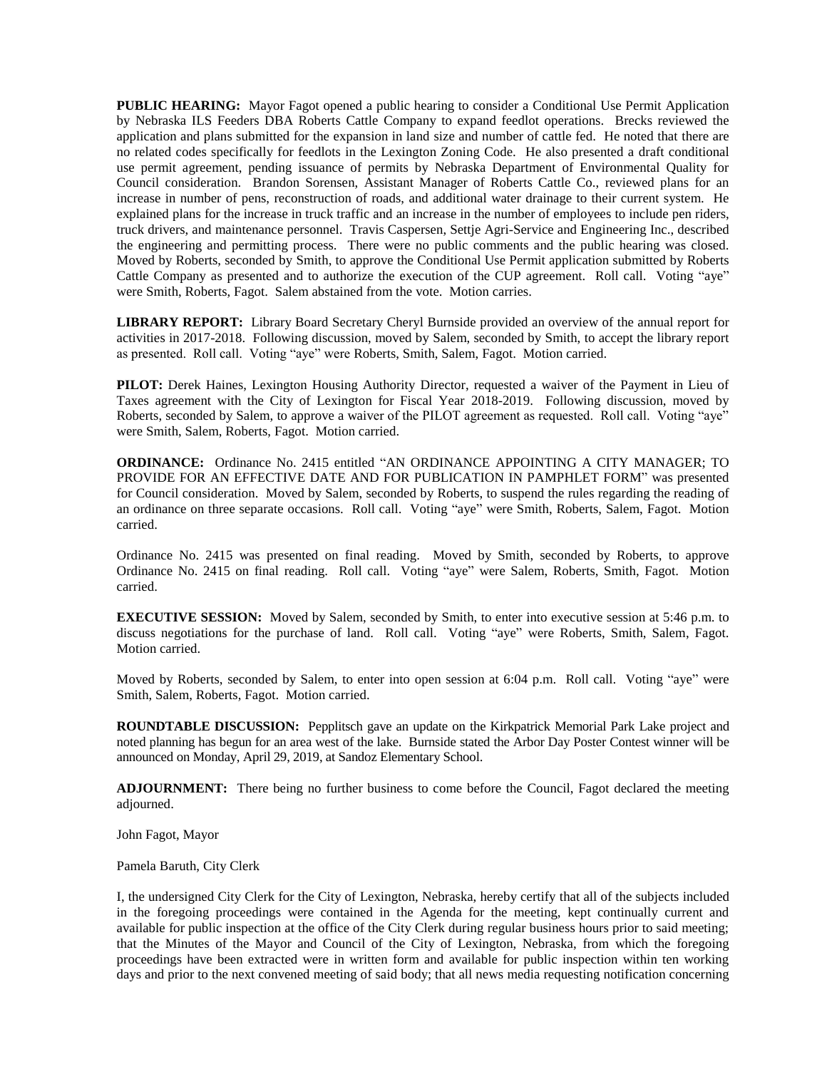**PUBLIC HEARING:** Mayor Fagot opened a public hearing to consider a Conditional Use Permit Application by Nebraska ILS Feeders DBA Roberts Cattle Company to expand feedlot operations. Brecks reviewed the application and plans submitted for the expansion in land size and number of cattle fed. He noted that there are no related codes specifically for feedlots in the Lexington Zoning Code. He also presented a draft conditional use permit agreement, pending issuance of permits by Nebraska Department of Environmental Quality for Council consideration. Brandon Sorensen, Assistant Manager of Roberts Cattle Co., reviewed plans for an increase in number of pens, reconstruction of roads, and additional water drainage to their current system. He explained plans for the increase in truck traffic and an increase in the number of employees to include pen riders, truck drivers, and maintenance personnel. Travis Caspersen, Settje Agri-Service and Engineering Inc., described the engineering and permitting process. There were no public comments and the public hearing was closed. Moved by Roberts, seconded by Smith, to approve the Conditional Use Permit application submitted by Roberts Cattle Company as presented and to authorize the execution of the CUP agreement. Roll call. Voting "aye" were Smith, Roberts, Fagot. Salem abstained from the vote. Motion carries.

**LIBRARY REPORT:** Library Board Secretary Cheryl Burnside provided an overview of the annual report for activities in 2017-2018. Following discussion, moved by Salem, seconded by Smith, to accept the library report as presented. Roll call. Voting "aye" were Roberts, Smith, Salem, Fagot. Motion carried.

**PILOT:** Derek Haines, Lexington Housing Authority Director, requested a waiver of the Payment in Lieu of Taxes agreement with the City of Lexington for Fiscal Year 2018-2019. Following discussion, moved by Roberts, seconded by Salem, to approve a waiver of the PILOT agreement as requested. Roll call. Voting "aye" were Smith, Salem, Roberts, Fagot. Motion carried.

**ORDINANCE:** Ordinance No. 2415 entitled "AN ORDINANCE APPOINTING A CITY MANAGER; TO PROVIDE FOR AN EFFECTIVE DATE AND FOR PUBLICATION IN PAMPHLET FORM" was presented for Council consideration. Moved by Salem, seconded by Roberts, to suspend the rules regarding the reading of an ordinance on three separate occasions. Roll call. Voting "aye" were Smith, Roberts, Salem, Fagot. Motion carried.

Ordinance No. 2415 was presented on final reading. Moved by Smith, seconded by Roberts, to approve Ordinance No. 2415 on final reading. Roll call. Voting "aye" were Salem, Roberts, Smith, Fagot. Motion carried.

**EXECUTIVE SESSION:** Moved by Salem, seconded by Smith, to enter into executive session at 5:46 p.m. to discuss negotiations for the purchase of land. Roll call. Voting "aye" were Roberts, Smith, Salem, Fagot. Motion carried.

Moved by Roberts, seconded by Salem, to enter into open session at 6:04 p.m. Roll call. Voting "aye" were Smith, Salem, Roberts, Fagot. Motion carried.

**ROUNDTABLE DISCUSSION:** Pepplitsch gave an update on the Kirkpatrick Memorial Park Lake project and noted planning has begun for an area west of the lake. Burnside stated the Arbor Day Poster Contest winner will be announced on Monday, April 29, 2019, at Sandoz Elementary School.

**ADJOURNMENT:** There being no further business to come before the Council, Fagot declared the meeting adjourned.

John Fagot, Mayor

Pamela Baruth, City Clerk

I, the undersigned City Clerk for the City of Lexington, Nebraska, hereby certify that all of the subjects included in the foregoing proceedings were contained in the Agenda for the meeting, kept continually current and available for public inspection at the office of the City Clerk during regular business hours prior to said meeting; that the Minutes of the Mayor and Council of the City of Lexington, Nebraska, from which the foregoing proceedings have been extracted were in written form and available for public inspection within ten working days and prior to the next convened meeting of said body; that all news media requesting notification concerning